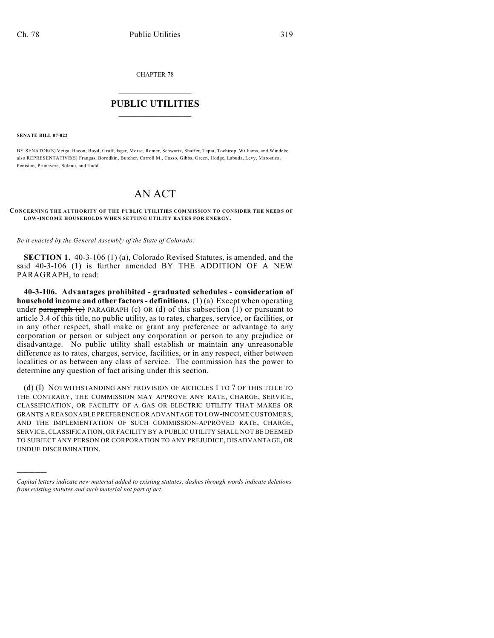CHAPTER 78

## $\mathcal{L}_\text{max}$  . The set of the set of the set of the set of the set of the set of the set of the set of the set of the set of the set of the set of the set of the set of the set of the set of the set of the set of the set **PUBLIC UTILITIES** \_\_\_\_\_\_\_\_\_\_\_\_\_\_\_

**SENATE BILL 07-022**

)))))

BY SENATOR(S) Veiga, Bacon, Boyd, Groff, Isgar, Morse, Romer, Schwartz, Shaffer, Tapia, Tochtrop, Williams, and Windels; also REPRESENTATIVE(S) Frangas, Borodkin, Butcher, Carroll M., Casso, Gibbs, Green, Hodge, Labuda, Levy, Marostica, Peniston, Primavera, Solano, and Todd.

## AN ACT

## **CONCERNING THE AUTHORITY OF THE PUBLIC UTILITIES COMMISSION TO CONSIDER THE NEEDS OF LOW-INCOME HOUSEHOLDS WHEN SETTING UTILITY RATES FOR ENERGY.**

*Be it enacted by the General Assembly of the State of Colorado:*

**SECTION 1.** 40-3-106 (1) (a), Colorado Revised Statutes, is amended, and the said 40-3-106 (1) is further amended BY THE ADDITION OF A NEW PARAGRAPH, to read:

**40-3-106. Advantages prohibited - graduated schedules - consideration of household income and other factors - definitions.** (1) (a) Except when operating under  $\frac{\text{parameter of}}{\text{mean}}$  PARAGRAPH (c) OR (d) of this subsection (1) or pursuant to article 3.4 of this title, no public utility, as to rates, charges, service, or facilities, or in any other respect, shall make or grant any preference or advantage to any corporation or person or subject any corporation or person to any prejudice or disadvantage. No public utility shall establish or maintain any unreasonable difference as to rates, charges, service, facilities, or in any respect, either between localities or as between any class of service. The commission has the power to determine any question of fact arising under this section.

(d) (I) NOTWITHSTANDING ANY PROVISION OF ARTICLES 1 TO 7 OF THIS TITLE TO THE CONTRARY, THE COMMISSION MAY APPROVE ANY RATE, CHARGE, SERVICE, CLASSIFICATION, OR FACILITY OF A GAS OR ELECTRIC UTILITY THAT MAKES OR GRANTS A REASONABLE PREFERENCE OR ADVANTAGE TO LOW-INCOME CUSTOMERS, AND THE IMPLEMENTATION OF SUCH COMMISSION-APPROVED RATE, CHARGE, SERVICE, CLASSIFICATION, OR FACILITY BY A PUBLIC UTILITY SHALL NOT BE DEEMED TO SUBJECT ANY PERSON OR CORPORATION TO ANY PREJUDICE, DISADVANTAGE, OR UNDUE DISCRIMINATION.

*Capital letters indicate new material added to existing statutes; dashes through words indicate deletions from existing statutes and such material not part of act.*